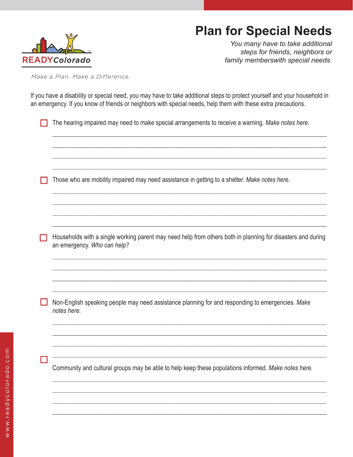## **Plan for Special Needs**



*You many have to take additional steps for friends, neighbors or family memberswith special needs.*

*Make a Plan. Make a Difference.*

If you have a disability or special need, you may have to take additional steps to protect yourself and your household in an emergency. If you know of friends or neighbors with special needs, help them with these extra precautions.

The hearing impaired may need to make special arrangements to receive a warning. *Make notes here.*

\_\_\_\_\_\_\_\_\_\_\_\_\_\_\_\_\_\_\_\_\_\_\_\_\_\_\_\_\_\_\_\_\_\_\_\_\_\_\_\_\_\_\_\_\_\_\_\_\_\_\_\_\_\_\_\_\_\_\_\_\_\_\_\_\_\_\_\_\_\_\_\_\_\_\_\_\_\_\_\_\_\_\_\_\_\_\_  $\_$  , and the set of the set of the set of the set of the set of the set of the set of the set of the set of the set of the set of the set of the set of the set of the set of the set of the set of the set of the set of th \_\_\_\_\_\_\_\_\_\_\_\_\_\_\_\_\_\_\_\_\_\_\_\_\_\_\_\_\_\_\_\_\_\_\_\_\_\_\_\_\_\_\_\_\_\_\_\_\_\_\_\_\_\_\_\_\_\_\_\_\_\_\_\_\_\_\_\_\_\_\_\_\_\_\_\_\_\_\_\_\_\_\_\_\_\_\_  $\_$  , and the set of the set of the set of the set of the set of the set of the set of the set of the set of the set of the set of the set of the set of the set of the set of the set of the set of the set of the set of th

\_\_\_\_\_\_\_\_\_\_\_\_\_\_\_\_\_\_\_\_\_\_\_\_\_\_\_\_\_\_\_\_\_\_\_\_\_\_\_\_\_\_\_\_\_\_\_\_\_\_\_\_\_\_\_\_\_\_\_\_\_\_\_\_\_\_\_\_\_\_\_\_\_\_\_\_\_\_\_\_\_\_\_\_\_\_\_  $\_$  , and the set of the set of the set of the set of the set of the set of the set of the set of the set of the set of the set of the set of the set of the set of the set of the set of the set of the set of the set of th \_\_\_\_\_\_\_\_\_\_\_\_\_\_\_\_\_\_\_\_\_\_\_\_\_\_\_\_\_\_\_\_\_\_\_\_\_\_\_\_\_\_\_\_\_\_\_\_\_\_\_\_\_\_\_\_\_\_\_\_\_\_\_\_\_\_\_\_\_\_\_\_\_\_\_\_\_\_\_\_\_\_\_\_\_\_\_  $\_$  , and the set of the set of the set of the set of the set of the set of the set of the set of the set of the set of the set of the set of the set of the set of the set of the set of the set of the set of the set of th

Those who are mobility impaired may need assistance in getting to a shelter. *Make notes here.*

Households with a single working parent may need help from others both in planning for disasters and during an emergency. *Who can help?*

 $\_$  , and the set of the set of the set of the set of the set of the set of the set of the set of the set of the set of the set of the set of the set of the set of the set of the set of the set of the set of the set of th \_\_\_\_\_\_\_\_\_\_\_\_\_\_\_\_\_\_\_\_\_\_\_\_\_\_\_\_\_\_\_\_\_\_\_\_\_\_\_\_\_\_\_\_\_\_\_\_\_\_\_\_\_\_\_\_\_\_\_\_\_\_\_\_\_\_\_\_\_\_\_\_\_\_\_\_\_\_\_\_\_\_\_\_\_\_\_  $\_$  , and the set of the set of the set of the set of the set of the set of the set of the set of the set of the set of the set of the set of the set of the set of the set of the set of the set of the set of the set of th  $\_$  , and the set of the set of the set of the set of the set of the set of the set of the set of the set of the set of the set of the set of the set of the set of the set of the set of the set of the set of the set of th

Non-English speaking people may need assistance planning for and responding to emergencies. *Make notes here.*

\_\_\_\_\_\_\_\_\_\_\_\_\_\_\_\_\_\_\_\_\_\_\_\_\_\_\_\_\_\_\_\_\_\_\_\_\_\_\_\_\_\_\_\_\_\_\_\_\_\_\_\_\_\_\_\_\_\_\_\_\_\_\_\_\_\_\_\_\_\_\_\_\_\_\_\_\_\_\_\_\_\_\_\_\_\_\_  $\_$  , and the set of the set of the set of the set of the set of the set of the set of the set of the set of the set of the set of the set of the set of the set of the set of the set of the set of the set of the set of th  $\_$  , and the set of the set of the set of the set of the set of the set of the set of the set of the set of the set of the set of the set of the set of the set of the set of the set of the set of the set of the set of th \_\_\_\_\_\_\_\_\_\_\_\_\_\_\_\_\_\_\_\_\_\_\_\_\_\_\_\_\_\_\_\_\_\_\_\_\_\_\_\_\_\_\_\_\_\_\_\_\_\_\_\_\_\_\_\_\_\_\_\_\_\_\_\_\_\_\_\_\_\_\_\_\_\_\_\_\_\_\_\_\_\_\_\_\_\_\_

Community and cultural groups may be able to help keep these populations informed. *Make notes here.*

\_\_\_\_\_\_\_\_\_\_\_\_\_\_\_\_\_\_\_\_\_\_\_\_\_\_\_\_\_\_\_\_\_\_\_\_\_\_\_\_\_\_\_\_\_\_\_\_\_\_\_\_\_\_\_\_\_\_\_\_\_\_\_\_\_\_\_\_\_\_\_\_\_\_\_\_\_\_\_\_\_\_\_\_\_\_\_  $\_$  , and the set of the set of the set of the set of the set of the set of the set of the set of the set of the set of the set of the set of the set of the set of the set of the set of the set of the set of the set of th  $\_$  , and the set of the set of the set of the set of the set of the set of the set of the set of the set of the set of the set of the set of the set of the set of the set of the set of the set of the set of the set of th \_\_\_\_\_\_\_\_\_\_\_\_\_\_\_\_\_\_\_\_\_\_\_\_\_\_\_\_\_\_\_\_\_\_\_\_\_\_\_\_\_\_\_\_\_\_\_\_\_\_\_\_\_\_\_\_\_\_\_\_\_\_\_\_\_\_\_\_\_\_\_\_\_\_\_\_\_\_\_\_\_\_\_\_\_\_\_